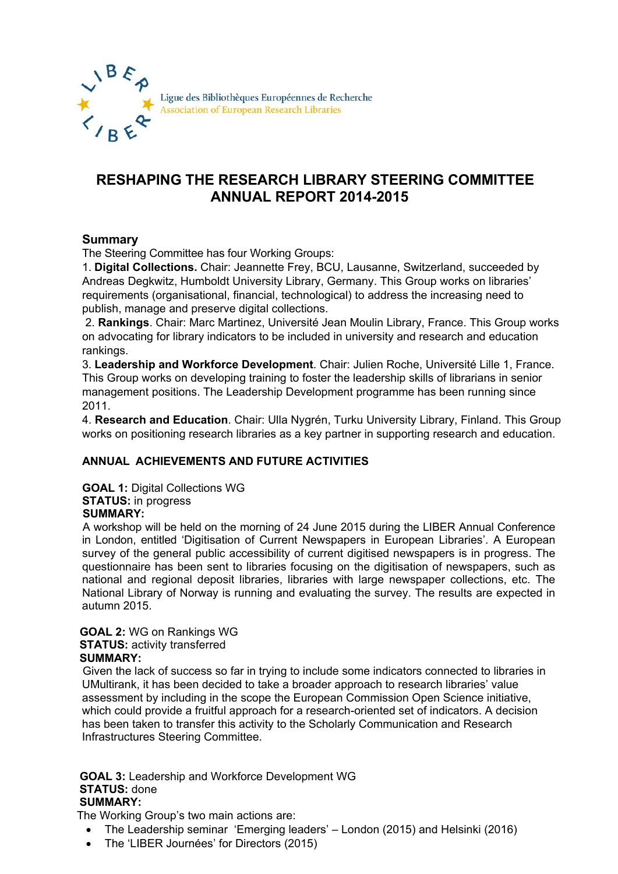

# **RESHAPING THE RESEARCH LIBRARY STEERING COMMITTEE ANNUAL REPORT 2014-2015**

## **Summary**

The Steering Committee has four Working Groups:

1. **Digital Collections.** Chair: Jeannette Frey, BCU, Lausanne, Switzerland, succeeded by Andreas Degkwitz, Humboldt University Library, Germany. This Group works on libraries' requirements (organisational, financial, technological) to address the increasing need to publish, manage and preserve digital collections.

2. **Rankings**. Chair: Marc Martinez, Université Jean Moulin Library, France. This Group works on advocating for library indicators to be included in university and research and education rankings.

3. **Leadership and Workforce Development**. Chair: Julien Roche, Université Lille 1, France. This Group works on developing training to foster the leadership skills of librarians in senior management positions. The Leadership Development programme has been running since 2011.

4. **Research and Education**. Chair: Ulla Nygrén, Turku University Library, Finland. This Group works on positioning research libraries as a key partner in supporting research and education.

## **ANNUAL ACHIEVEMENTS AND FUTURE ACTIVITIES**

**GOAL 1:** Digital Collections WG **STATUS:** in progress  **SUMMARY:** 

 A workshop will be held on the morning of 24 June 2015 during the LIBER Annual Conference in London, entitled 'Digitisation of Current Newspapers in European Libraries'. A European survey of the general public accessibility of current digitised newspapers is in progress. The questionnaire has been sent to libraries focusing on the digitisation of newspapers, such as national and regional deposit libraries, libraries with large newspaper collections, etc. The National Library of Norway is running and evaluating the survey. The results are expected in autumn 2015.

#### **GOAL 2:** WG on Rankings WG **STATUS: activity transferred SUMMARY:**

Given the lack of success so far in trying to include some indicators connected to libraries in UMultirank, it has been decided to take a broader approach to research libraries' value assessment by including in the scope the European Commission Open Science initiative, which could provide a fruitful approach for a research-oriented set of indicators. A decision has been taken to transfer this activity to the Scholarly Communication and Research Infrastructures Steering Committee.

#### **GOAL 3:** Leadership and Workforce Development WG  **STATUS:** done  **SUMMARY:**

The Working Group's two main actions are:

- The Leadership seminar 'Emerging leaders' London (2015) and Helsinki (2016)
- The 'LIBER Journées' for Directors (2015)